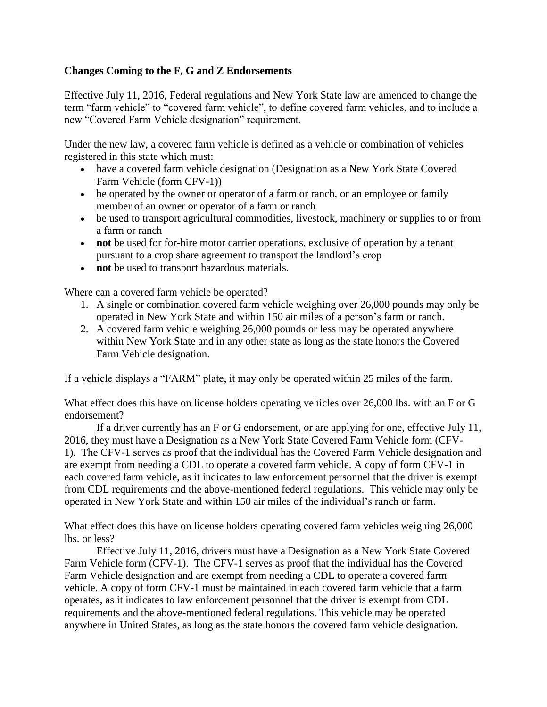## **Changes Coming to the F, G and Z Endorsements**

Effective July 11, 2016, Federal regulations and New York State law are amended to change the term "farm vehicle" to "covered farm vehicle", to define covered farm vehicles, and to include a new "Covered Farm Vehicle designation" requirement.

Under the new law, a covered farm vehicle is defined as a vehicle or combination of vehicles registered in this state which must:

- have a covered farm vehicle designation (Designation as a New York State Covered Farm Vehicle (form CFV-1))
- be operated by the owner or operator of a farm or ranch, or an employee or family member of an owner or operator of a farm or ranch
- be used to transport agricultural commodities, livestock, machinery or supplies to or from a farm or ranch
- **not** be used for for-hire motor carrier operations, exclusive of operation by a tenant pursuant to a crop share agreement to transport the landlord's crop
- **not** be used to transport hazardous materials.

Where can a covered farm vehicle be operated?

- 1. A single or combination covered farm vehicle weighing over 26,000 pounds may only be operated in New York State and within 150 air miles of a person's farm or ranch.
- 2. A covered farm vehicle weighing 26,000 pounds or less may be operated anywhere within New York State and in any other state as long as the state honors the Covered Farm Vehicle designation.

If a vehicle displays a "FARM" plate, it may only be operated within 25 miles of the farm.

What effect does this have on license holders operating vehicles over 26,000 lbs. with an F or G endorsement?

If a driver currently has an F or G endorsement, or are applying for one, effective July 11, 2016, they must have a Designation as a New York State Covered Farm Vehicle form (CFV-1). The CFV-1 serves as proof that the individual has the Covered Farm Vehicle designation and are exempt from needing a CDL to operate a covered farm vehicle. A copy of form CFV-1 in each covered farm vehicle, as it indicates to law enforcement personnel that the driver is exempt from CDL requirements and the above-mentioned federal regulations. This vehicle may only be operated in New York State and within 150 air miles of the individual's ranch or farm.

What effect does this have on license holders operating covered farm vehicles weighing 26,000 lbs. or less?

Effective July 11, 2016, drivers must have a Designation as a New York State Covered Farm Vehicle form (CFV-1). The CFV-1 serves as proof that the individual has the Covered Farm Vehicle designation and are exempt from needing a CDL to operate a covered farm vehicle. A copy of form CFV-1 must be maintained in each covered farm vehicle that a farm operates, as it indicates to law enforcement personnel that the driver is exempt from CDL requirements and the above-mentioned federal regulations. This vehicle may be operated anywhere in United States, as long as the state honors the covered farm vehicle designation.